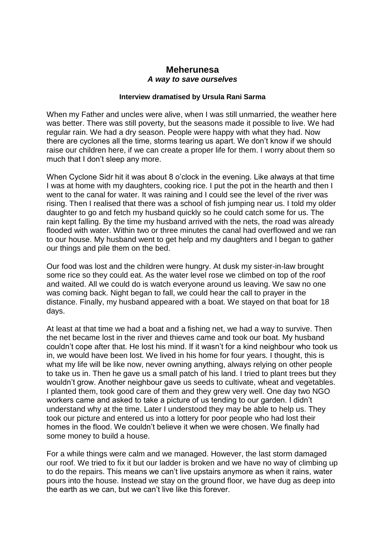## **Meherunesa** *A way to save ourselves*

## **Interview dramatised by Ursula Rani Sarma**

When my Father and uncles were alive, when I was still unmarried, the weather here was better. There was still poverty, but the seasons made it possible to live. We had regular rain. We had a dry season. People were happy with what they had. Now there are cyclones all the time, storms tearing us apart. We don't know if we should raise our children here, if we can create a proper life for them. I worry about them so much that I don't sleep any more.

When Cyclone Sidr hit it was about 8 o'clock in the evening. Like always at that time I was at home with my daughters, cooking rice. I put the pot in the hearth and then I went to the canal for water. It was raining and I could see the level of the river was rising. Then I realised that there was a school of fish jumping near us. I told my older daughter to go and fetch my husband quickly so he could catch some for us. The rain kept falling. By the time my husband arrived with the nets, the road was already flooded with water. Within two or three minutes the canal had overflowed and we ran to our house. My husband went to get help and my daughters and I began to gather our things and pile them on the bed.

Our food was lost and the children were hungry. At dusk my sister-in-law brought some rice so they could eat. As the water level rose we climbed on top of the roof and waited. All we could do is watch everyone around us leaving. We saw no one was coming back. Night began to fall, we could hear the call to prayer in the distance. Finally, my husband appeared with a boat. We stayed on that boat for 18 days.

At least at that time we had a boat and a fishing net, we had a way to survive. Then the net became lost in the river and thieves came and took our boat. My husband couldn't cope after that. He lost his mind. If it wasn't for a kind neighbour who took us in, we would have been lost. We lived in his home for four years. I thought, this is what my life will be like now, never owning anything, always relying on other people to take us in. Then he gave us a small patch of his land. I tried to plant trees but they wouldn't grow. Another neighbour gave us seeds to cultivate, wheat and vegetables. I planted them, took good care of them and they grew very well. One day two NGO workers came and asked to take a picture of us tending to our garden. I didn't understand why at the time. Later I understood they may be able to help us. They took our picture and entered us into a lottery for poor people who had lost their homes in the flood. We couldn't believe it when we were chosen. We finally had some money to build a house.

For a while things were calm and we managed. However, the last storm damaged our roof. We tried to fix it but our ladder is broken and we have no way of climbing up to do the repairs. This means we can't live upstairs anymore as when it rains, water pours into the house. Instead we stay on the ground floor, we have dug as deep into the earth as we can, but we can't live like this forever.